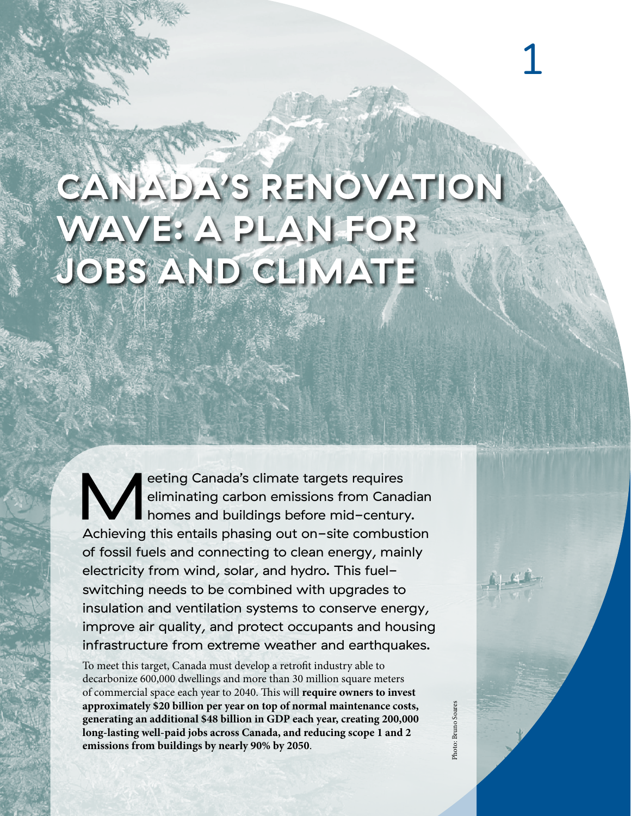# **CANADA'S RENOVATION WAVE: A PLAN FOR JOBS AND CLIMATE**

eting Canada's climate targets requires<br>eliminating carbon emissions from Canad<br>homes and buildings before mid-century<br>Achieving this entails phasing out on-site combust eliminating carbon emissions from Canadian homes and buildings before mid-century. Achieving this entails phasing out on-site combustion of fossil fuels and connecting to clean energy, mainly electricity from wind, solar, and hydro. This fuelswitching needs to be combined with upgrades to insulation and ventilation systems to conserve energy, improve air quality, and protect occupants and housing infrastructure from extreme weather and earthquakes.

To meet this target, Canada must develop a retrofit industry able to decarbonize 600,000 dwellings and more than 30 million square meters of commercial space each year to 2040. "is will **require owners to invest approximately \$20 billion per year on top of normal maintenance costs, generating an additional \$48 billion in GDP each year, creating 200,000 long-lasting well-paid jobs across Canada, and reducing scope 1 and 2 emissions from buildings by nearly 90% by 2050**.

1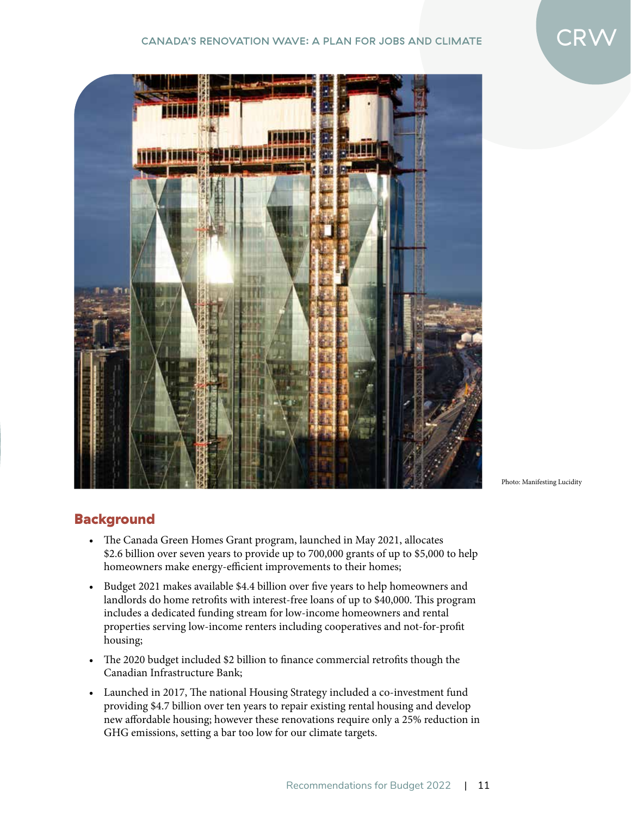### CANADA'S RENOVATION WAVE: A PLAN FOR JOBS AND CLIMATE





Photo: Manifesting Lucidity

## **Background**

- The Canada Green Homes Grant program, launched in May 2021, allocates \$2.6 billion over seven years to provide up to 700,000 grants of up to \$5,000 to help homeowners make energy-efficient improvements to their homes;
- Budget 2021 makes available \$4.4 billion over five years to help homeowners and landlords do home retrofits with interest-free loans of up to \$40,000. This program includes a dedicated funding stream for low-income homeowners and rental properties serving low-income renters including cooperatives and not-for-profit housing;
- The 2020 budget included \$2 billion to finance commercial retrofits though the Canadian Infrastructure Bank;
- Launched in 2017, The national Housing Strategy included a co-investment fund providing \$4.7 billion over ten years to repair existing rental housing and develop new affordable housing; however these renovations require only a 25% reduction in GHG emissions, setting a bar too low for our climate targets.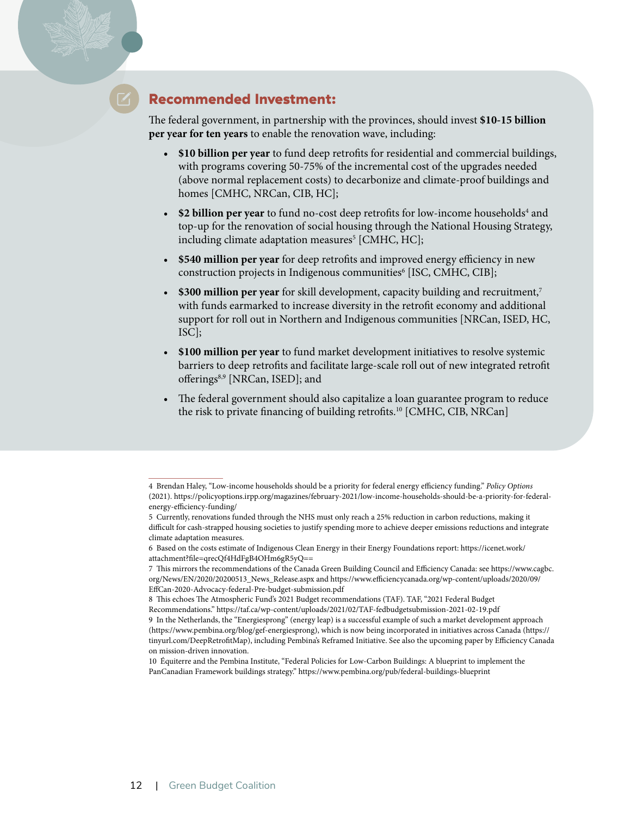# Recommended Investment:

The federal government, in partnership with the provinces, should invest \$10-15 billion **per year for ten years** to enable the renovation wave, including:

- **\$10 billion per year** to fund deep retrofits for residential and commercial buildings, with programs covering 50-75% of the incremental cost of the upgrades needed (above normal replacement costs) to decarbonize and climate-proof buildings and homes [CMHC, NRCan, CIB, HC];
- \$2 billion per year to fund no-cost deep retrofits for low-income households<sup>4</sup> and top-up for the renovation of social housing through the National Housing Strategy, including climate adaptation measures<sup>5</sup> [CMHC, HC];
- **\$540 million per year** for deep retrofits and improved energy efficiency in new construction projects in Indigenous communities<sup>6</sup> [ISC, CMHC, CIB];
- **\$300 million per year** for skill development, capacity building and recruitment,<sup>7</sup> with funds earmarked to increase diversity in the retrofit economy and additional support for roll out in Northern and Indigenous communities [NRCan, ISED, HC, ISC];
- **\$100 million per year** to fund market development initiatives to resolve systemic barriers to deep retrofits and facilitate large-scale roll out of new integrated retrofit offerings<sup>8,9</sup> [NRCan, ISED]; and
- The federal government should also capitalize a loan guarantee program to reduce the risk to private financing of building retrofits.<sup>10</sup> [CMHC, CIB, NRCan]

<sup>4</sup> Brendan Haley, "Low-income households should be a priority for federal energy e#ciency funding." *Policy Options* (2021). https://policyoptions.irpp.org/magazines/february-2021/low-income-households-should-be-a-priority-for-federalenergy-efficiency-funding/

<sup>5</sup> Currently, renovations funded through the NHS must only reach a 25% reduction in carbon reductions, making it difficult for cash-strapped housing societies to justify spending more to achieve deeper emissions reductions and integrate climate adaptation measures.

<sup>6</sup> Based on the costs estimate of Indigenous Clean Energy in their Energy Foundations report: https://icenet.work/ attachment?file=qrecQf4HdFgB4OHm6gR5yQ==

<sup>7</sup> This mirrors the recommendations of the Canada Green Building Council and Efficiency Canada: see https://www.cagbc. org/News/EN/2020/20200513\_News\_Release.aspx and https://www.e#ciencycanada.org/wp-content/uploads/2020/09/ EffCan-2020-Advocacy-federal-Pre-budget-submission.pdf

<sup>8</sup> This echoes The Atmospheric Fund's 2021 Budget recommendations (TAF). TAF, "2021 Federal Budget Recommendations." https://taf.ca/wp-content/uploads/2021/02/TAF-fedbudgetsubmission-2021-02-19.pdf 9 In the Netherlands, the "Energiesprong" (energy leap) is a successful example of such a market development approach (https://www.pembina.org/blog/gef-energiesprong), which is now being incorporated in initiatives across Canada (https:// tinyurl.com/DeepRetrofitMap), including Pembina's Reframed Initiative. See also the upcoming paper by Efficiency Canada on mission-driven innovation.

<sup>10</sup> Équiterre and the Pembina Institute, "Federal Policies for Low-Carbon Buildings: A blueprint to implement the PanCanadian Framework buildings strategy." https://www.pembina.org/pub/federal-buildings-blueprint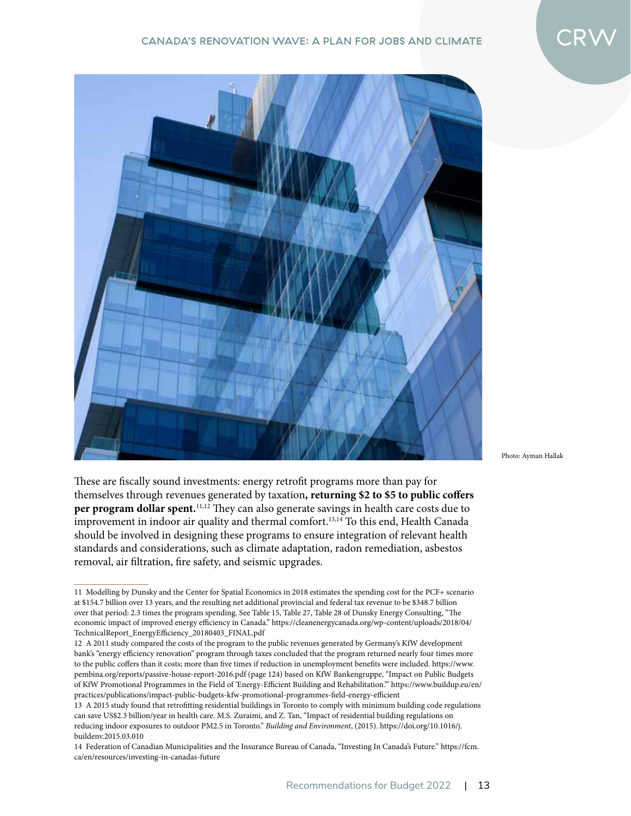

Photo: Ayman Hallak

These are fiscally sound investments: energy retrofit programs more than pay for themselves through revenues generated by taxation, returning \$2 to \$5 to public coffers per program dollar spent.<sup>11,12</sup> They can also generate savings in health care costs due to improvement in indoor air quality and thermal comfort.<sup>13,14</sup> To this end, Health Canada should be involved in designing these programs to ensure integration of relevant health standards and considerations, such as climate adaptation, radon remediation, asbestos removal, air filtration, fire safety, and seismic upgrades.

<sup>11</sup> Modelling by Dunsky and the Center for Spatial Economics in 2018 estimates the spending cost for the PCF+ scenario at \$154.7 billion over 13 years, and the resulting net additional provincial and federal tax revenue to be \$348.7 billion over that period: 2.3 times the program spending. See Table 15, Table 27, Table 28 of Dunsky Energy Consulting, "The economic impact of improved energy e#ciency in Canada." https://cleanenergycanada.org/wp-content/uploads/2018/04/ TechnicalReport\_EnergyE#ciency\_20180403\_FINAL.pdf

<sup>12</sup> A 2011 study compared the costs of the program to the public revenues generated by Germany's KfW development bank's "energy efficiency renovation" program through taxes concluded that the program returned nearly four times more to the public coffers than it costs; more than five times if reduction in unemployment benefits were included. https://www. pembina.org/reports/passive-house-report-2016.pdf (page 124) based on KfW Bankengruppe, "Impact on Public Budgets of KfW Promotional Programmes in the Field of 'Energy-E#cient Building and Rehabilitation.'" https://www.buildup.eu/en/ practices/publications/impact-public-budgets-kfw-promotional-programmes-field-energy-efficient

<sup>13</sup> A 2015 study found that retrofitting residential buildings in Toronto to comply with minimum building code regulations can save US\$2.3 billion/year in health care. M.S. Zuraimi, and Z. Tan, "Impact of residential building regulations on reducing indoor exposures to outdoor PM2.5 in Toronto." *Building and Environment*, (2015). https://doi.org/10.1016/j. buildenv.2015.03.010

<sup>14</sup> Federation of Canadian Municipalities and the Insurance Bureau of Canada, "Investing In Canada's Future." https://fcm. ca/en/resources/investing-in-canadas-future